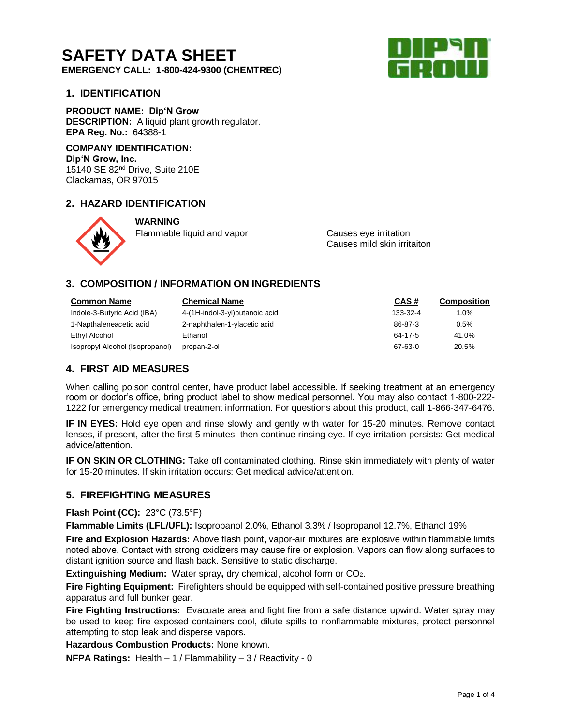# **SAFETY DATA SHEET**

**EMERGENCY CALL: 1-800-424-9300 (CHEMTREC)**

## **1. IDENTIFICATION**

**PRODUCT NAME: Dip'N Grow DESCRIPTION:** A liquid plant growth regulator. **EPA Reg. No.:** 64388-1

## **COMPANY IDENTIFICATION: Dip'N Grow, Inc.**

15140 SE 82nd Drive, Suite 210E Clackamas, OR 97015

## **2. HAZARD IDENTIFICATION**



**WARNING** Flammable liquid and vapor Causes eye irritation

Causes mild skin irritaiton

## **3. COMPOSITION / INFORMATION ON INGREDIENTS**

| Common Name                     | <b>Chemical Name</b>           | CAS#     | <b>Composition</b> |
|---------------------------------|--------------------------------|----------|--------------------|
| Indole-3-Butyric Acid (IBA)     | 4-(1H-indol-3-yl)butanoic acid | 133-32-4 | 1.0%               |
| 1-Napthaleneacetic acid         | 2-naphthalen-1-ylacetic acid   | 86-87-3  | 0.5%               |
| Ethyl Alcohol                   | Ethanol                        | 64-17-5  | 41.0%              |
| Isopropyl Alcohol (Isopropanol) | propan-2-ol                    | 67-63-0  | 20.5%              |

## **4. FIRST AID MEASURES**

When calling poison control center, have product label accessible. If seeking treatment at an emergency room or doctor's office, bring product label to show medical personnel. You may also contact 1-800-222- 1222 for emergency medical treatment information. For questions about this product, call 1-866-347-6476.

**IF IN EYES:** Hold eye open and rinse slowly and gently with water for 15-20 minutes. Remove contact lenses, if present, after the first 5 minutes, then continue rinsing eye. If eye irritation persists: Get medical advice/attention.

**IF ON SKIN OR CLOTHING:** Take off contaminated clothing. Rinse skin immediately with plenty of water for 15-20 minutes. If skin irritation occurs: Get medical advice/attention.

## **5. FIREFIGHTING MEASURES**

#### **Flash Point (CC):** 23°C (73.5°F)

**Flammable Limits (LFL/UFL):** Isopropanol 2.0%, Ethanol 3.3% / Isopropanol 12.7%, Ethanol 19%

**Fire and Explosion Hazards:** Above flash point, vapor-air mixtures are explosive within flammable limits noted above. Contact with strong oxidizers may cause fire or explosion. Vapors can flow along surfaces to distant ignition source and flash back. Sensitive to static discharge.

**Extinguishing Medium:** Water spray**,** dry chemical, alcohol form or CO2.

**Fire Fighting Equipment:** Firefighters should be equipped with self-contained positive pressure breathing apparatus and full bunker gear.

**Fire Fighting Instructions:** Evacuate area and fight fire from a safe distance upwind. Water spray may be used to keep fire exposed containers cool, dilute spills to nonflammable mixtures, protect personnel attempting to stop leak and disperse vapors.

**Hazardous Combustion Products:** None known.

**NFPA Ratings:** Health – 1 / Flammability – 3 / Reactivity - 0

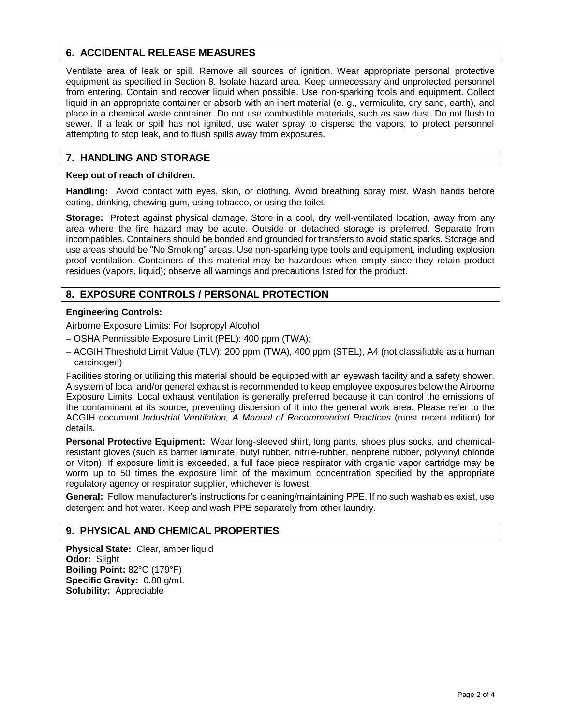## **6. ACCIDENTAL RELEASE MEASURES**

Ventilate area of leak or spill. Remove all sources of ignition. Wear appropriate personal protective equipment as specified in Section 8. Isolate hazard area. Keep unnecessary and unprotected personnel from entering. Contain and recover liquid when possible. Use non-sparking tools and equipment. Collect liquid in an appropriate container or absorb with an inert material (e. g., vermiculite, dry sand, earth), and place in a chemical waste container. Do not use combustible materials, such as saw dust. Do not flush to sewer. If a leak or spill has not ignited, use water spray to disperse the vapors, to protect personnel attempting to stop leak, and to flush spills away from exposures.

#### **7. HANDLING AND STORAGE**

#### **Keep out of reach of children.**

**Handling:** Avoid contact with eyes, skin, or clothing. Avoid breathing spray mist. Wash hands before eating, drinking, chewing gum, using tobacco, or using the toilet.

**Storage:** Protect against physical damage. Store in a cool, dry well-ventilated location, away from any area where the fire hazard may be acute. Outside or detached storage is preferred. Separate from incompatibles. Containers should be bonded and grounded for transfers to avoid static sparks. Storage and use areas should be "No Smoking" areas. Use non-sparking type tools and equipment, including explosion proof ventilation. Containers of this material may be hazardous when empty since they retain product residues (vapors, liquid); observe all warnings and precautions listed for the product.

## **8. EXPOSURE CONTROLS / PERSONAL PROTECTION**

#### **Engineering Controls:**

Airborne Exposure Limits: For Isopropyl Alcohol

- OSHA Permissible Exposure Limit (PEL): 400 ppm (TWA);
- ACGIH Threshold Limit Value (TLV): 200 ppm (TWA), 400 ppm (STEL), A4 (not classifiable as a human carcinogen)

Facilities storing or utilizing this material should be equipped with an eyewash facility and a safety shower. A system of local and/or general exhaust is recommended to keep employee exposures below the Airborne Exposure Limits. Local exhaust ventilation is generally preferred because it can control the emissions of the contaminant at its source, preventing dispersion of it into the general work area. Please refer to the ACGIH document *Industrial Ventilation, A Manual of Recommended Practices* (most recent edition) for details.

**Personal Protective Equipment:** Wear long-sleeved shirt, long pants, shoes plus socks, and chemicalresistant gloves (such as barrier laminate, butyl rubber, nitrile-rubber, neoprene rubber, polyvinyl chloride or Viton). If exposure limit is exceeded, a full face piece respirator with organic vapor cartridge may be worm up to 50 times the exposure limit of the maximum concentration specified by the appropriate regulatory agency or respirator supplier, whichever is lowest.

**General:** Follow manufacturer's instructions for cleaning/maintaining PPE. If no such washables exist, use detergent and hot water. Keep and wash PPE separately from other laundry.

## **9. PHYSICAL AND CHEMICAL PROPERTIES**

**Physical State:** Clear, amber liquid **Odor:** Slight **Boiling Point:** 82°C (179°F) **Specific Gravity:** 0.88 g/mL **Solubility:** Appreciable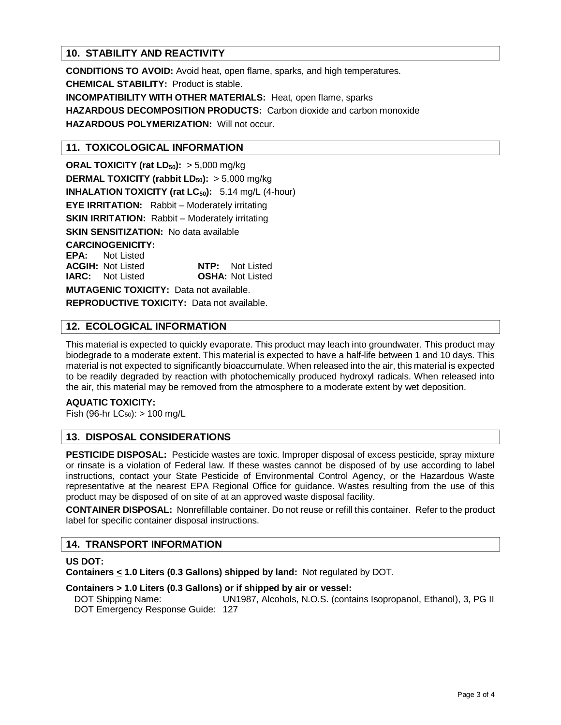## **10. STABILITY AND REACTIVITY**

**CONDITIONS TO AVOID:** Avoid heat, open flame, sparks, and high temperatures. **CHEMICAL STABILITY:** Product is stable. **INCOMPATIBILITY WITH OTHER MATERIALS:** Heat, open flame, sparks **HAZARDOUS DECOMPOSITION PRODUCTS:** Carbon dioxide and carbon monoxide **HAZARDOUS POLYMERIZATION:** Will not occur.

#### **11. TOXICOLOGICAL INFORMATION**

**ORAL TOXICITY (rat LD50):** > 5,000 mg/kg **DERMAL TOXICITY (rabbit LD50):** > 5,000 mg/kg **INHALATION TOXICITY (rat LC50):** 5.14 mg/L (4-hour) **EYE IRRITATION:** Rabbit – Moderately irritating **SKIN IRRITATION:** Rabbit – Moderately irritating **SKIN SENSITIZATION:** No data available **CARCINOGENICITY: EPA:** Not Listed **ACGIH:** Not Listed **NTP:** Not Listed **IARC:** Not Listed **OSHA:** Not Listed **MUTAGENIC TOXICITY:** Data not available.

**REPRODUCTIVE TOXICITY:** Data not available.

#### **12. ECOLOGICAL INFORMATION**

This material is expected to quickly evaporate. This product may leach into groundwater. This product may biodegrade to a moderate extent. This material is expected to have a half-life between 1 and 10 days. This material is not expected to significantly bioaccumulate. When released into the air, this material is expected to be readily degraded by reaction with photochemically produced hydroxyl radicals. When released into the air, this material may be removed from the atmosphere to a moderate extent by wet deposition.

#### **AQUATIC TOXICITY:**

Fish (96-hr  $LC_{50}$ ):  $> 100$  mg/L

## **13. DISPOSAL CONSIDERATIONS**

**PESTICIDE DISPOSAL:** Pesticide wastes are toxic. Improper disposal of excess pesticide, spray mixture or rinsate is a violation of Federal law. If these wastes cannot be disposed of by use according to label instructions, contact your State Pesticide of Environmental Control Agency, or the Hazardous Waste representative at the nearest EPA Regional Office for guidance. Wastes resulting from the use of this product may be disposed of on site of at an approved waste disposal facility.

**CONTAINER DISPOSAL:** Nonrefillable container. Do not reuse or refill this container. Refer to the product label for specific container disposal instructions.

#### **14. TRANSPORT INFORMATION**

#### **US DOT:**

**Containers < 1.0 Liters (0.3 Gallons) shipped by land:** Not regulated by DOT.

#### **Containers > 1.0 Liters (0.3 Gallons) or if shipped by air or vessel:**

DOT Shipping Name: UN1987, Alcohols, N.O.S. (contains Isopropanol, Ethanol), 3, PG II DOT Emergency Response Guide: 127